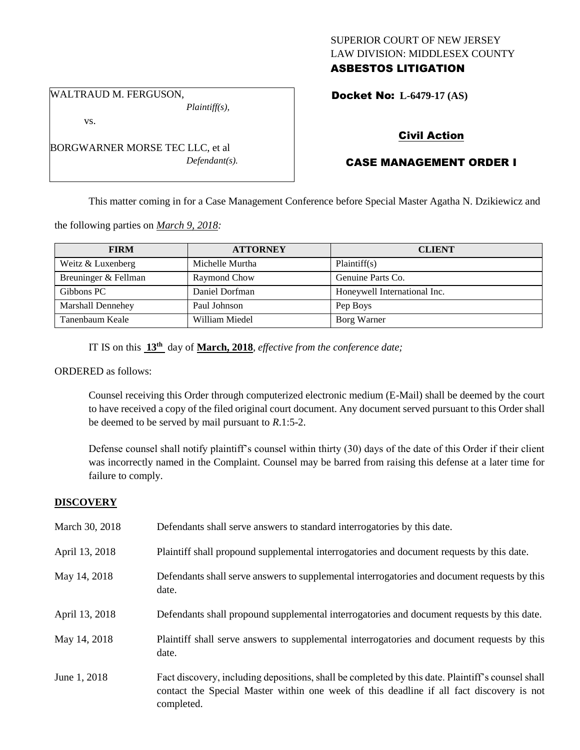## SUPERIOR COURT OF NEW JERSEY LAW DIVISION: MIDDLESEX COUNTY ASBESTOS LITIGATION

WALTRAUD M. FERGUSON, *Plaintiff(s),*

vs.

BORGWARNER MORSE TEC LLC, et al *Defendant(s).*

## Docket No: **L-6479-17 (AS)**

## Civil Action

# CASE MANAGEMENT ORDER I

This matter coming in for a Case Management Conference before Special Master Agatha N. Dzikiewicz and

the following parties on *March 9, 2018:*

| <b>FIRM</b>              | <b>ATTORNEY</b> | <b>CLIENT</b>                |
|--------------------------|-----------------|------------------------------|
| Weitz & Luxenberg        | Michelle Murtha | Plaintiff(s)                 |
| Breuninger & Fellman     | Raymond Chow    | Genuine Parts Co.            |
| Gibbons PC               | Daniel Dorfman  | Honeywell International Inc. |
| <b>Marshall Dennehey</b> | Paul Johnson    | Pep Boys                     |
| Tanenbaum Keale          | William Miedel  | Borg Warner                  |

IT IS on this **13th** day of **March, 2018**, *effective from the conference date;*

ORDERED as follows:

Counsel receiving this Order through computerized electronic medium (E-Mail) shall be deemed by the court to have received a copy of the filed original court document. Any document served pursuant to this Order shall be deemed to be served by mail pursuant to *R*.1:5-2.

Defense counsel shall notify plaintiff's counsel within thirty (30) days of the date of this Order if their client was incorrectly named in the Complaint. Counsel may be barred from raising this defense at a later time for failure to comply.

## **DISCOVERY**

| March 30, 2018 | Defendants shall serve answers to standard interrogatories by this date.                                                                                                                                    |
|----------------|-------------------------------------------------------------------------------------------------------------------------------------------------------------------------------------------------------------|
| April 13, 2018 | Plaintiff shall propound supplemental interrogatories and document requests by this date.                                                                                                                   |
| May 14, 2018   | Defendants shall serve answers to supplemental interrogatories and document requests by this<br>date.                                                                                                       |
| April 13, 2018 | Defendants shall propound supplemental interrogatories and document requests by this date.                                                                                                                  |
| May 14, 2018   | Plaintiff shall serve answers to supplemental interrogatories and document requests by this<br>date.                                                                                                        |
| June 1, 2018   | Fact discovery, including depositions, shall be completed by this date. Plaintiff's counsel shall<br>contact the Special Master within one week of this deadline if all fact discovery is not<br>completed. |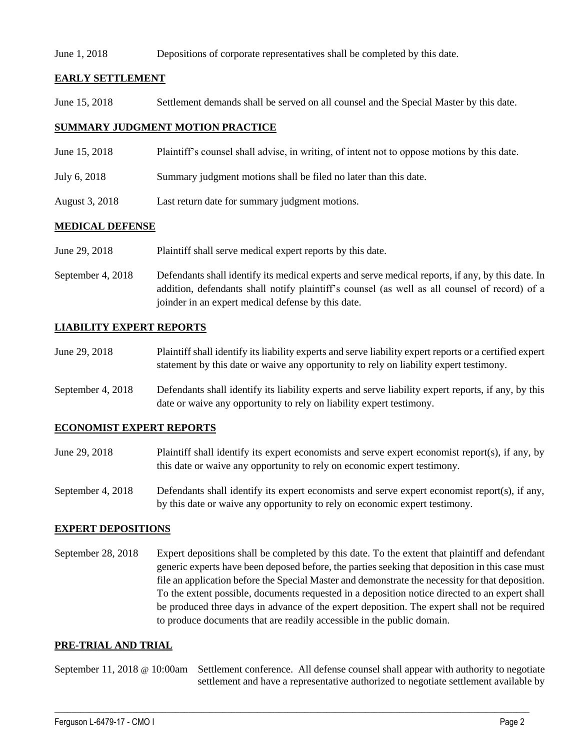#### June 1, 2018 Depositions of corporate representatives shall be completed by this date.

### **EARLY SETTLEMENT**

June 15, 2018 Settlement demands shall be served on all counsel and the Special Master by this date.

### **SUMMARY JUDGMENT MOTION PRACTICE**

- June 15, 2018 Plaintiff's counsel shall advise, in writing, of intent not to oppose motions by this date.
- July 6, 2018 Summary judgment motions shall be filed no later than this date.
- August 3, 2018 Last return date for summary judgment motions.

### **MEDICAL DEFENSE**

- June 29, 2018 Plaintiff shall serve medical expert reports by this date.
- September 4, 2018 Defendants shall identify its medical experts and serve medical reports, if any, by this date. In addition, defendants shall notify plaintiff's counsel (as well as all counsel of record) of a joinder in an expert medical defense by this date.

## **LIABILITY EXPERT REPORTS**

- June 29, 2018 Plaintiff shall identify its liability experts and serve liability expert reports or a certified expert statement by this date or waive any opportunity to rely on liability expert testimony.
- September 4, 2018 Defendants shall identify its liability experts and serve liability expert reports, if any, by this date or waive any opportunity to rely on liability expert testimony.

#### **ECONOMIST EXPERT REPORTS**

- June 29, 2018 Plaintiff shall identify its expert economists and serve expert economist report(s), if any, by this date or waive any opportunity to rely on economic expert testimony.
- September 4, 2018 Defendants shall identify its expert economists and serve expert economist report(s), if any, by this date or waive any opportunity to rely on economic expert testimony.

#### **EXPERT DEPOSITIONS**

September 28, 2018 Expert depositions shall be completed by this date. To the extent that plaintiff and defendant generic experts have been deposed before, the parties seeking that deposition in this case must file an application before the Special Master and demonstrate the necessity for that deposition. To the extent possible, documents requested in a deposition notice directed to an expert shall be produced three days in advance of the expert deposition. The expert shall not be required to produce documents that are readily accessible in the public domain.

#### **PRE-TRIAL AND TRIAL**

September 11, 2018 @ 10:00am Settlement conference. All defense counsel shall appear with authority to negotiate settlement and have a representative authorized to negotiate settlement available by

 $\_$  ,  $\_$  ,  $\_$  ,  $\_$  ,  $\_$  ,  $\_$  ,  $\_$  ,  $\_$  ,  $\_$  ,  $\_$  ,  $\_$  ,  $\_$  ,  $\_$  ,  $\_$  ,  $\_$  ,  $\_$  ,  $\_$  ,  $\_$  ,  $\_$  ,  $\_$  ,  $\_$  ,  $\_$  ,  $\_$  ,  $\_$  ,  $\_$  ,  $\_$  ,  $\_$  ,  $\_$  ,  $\_$  ,  $\_$  ,  $\_$  ,  $\_$  ,  $\_$  ,  $\_$  ,  $\_$  ,  $\_$  ,  $\_$  ,